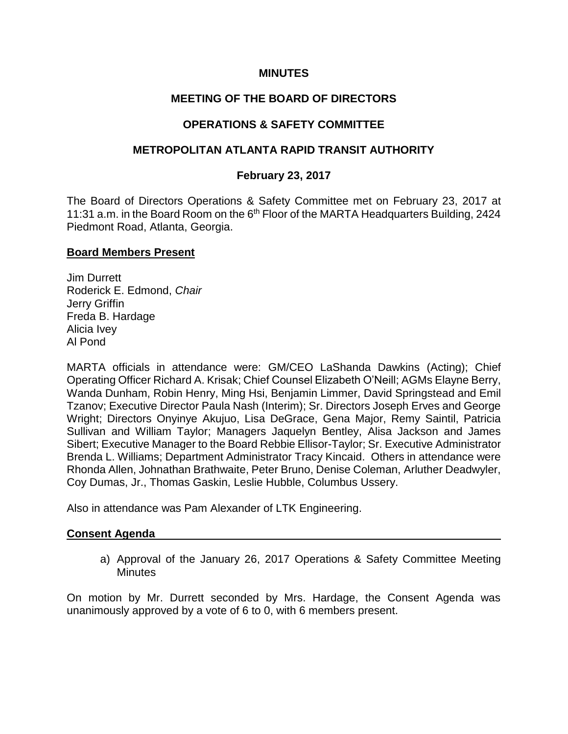#### **MINUTES**

# **MEETING OF THE BOARD OF DIRECTORS**

# **OPERATIONS & SAFETY COMMITTEE**

### **METROPOLITAN ATLANTA RAPID TRANSIT AUTHORITY**

#### **February 23, 2017**

The Board of Directors Operations & Safety Committee met on February 23, 2017 at 11:31 a.m. in the Board Room on the  $6<sup>th</sup>$  Floor of the MARTA Headquarters Building, 2424 Piedmont Road, Atlanta, Georgia.

#### **Board Members Present**

Jim Durrett Roderick E. Edmond, *Chair* Jerry Griffin Freda B. Hardage Alicia Ivey Al Pond

MARTA officials in attendance were: GM/CEO LaShanda Dawkins (Acting); Chief Operating Officer Richard A. Krisak; Chief Counsel Elizabeth O'Neill; AGMs Elayne Berry, Wanda Dunham, Robin Henry, Ming Hsi, Benjamin Limmer, David Springstead and Emil Tzanov; Executive Director Paula Nash (Interim); Sr. Directors Joseph Erves and George Wright; Directors Onyinye Akujuo, Lisa DeGrace, Gena Major, Remy Saintil, Patricia Sullivan and William Taylor; Managers Jaquelyn Bentley, Alisa Jackson and James Sibert; Executive Manager to the Board Rebbie Ellisor-Taylor; Sr. Executive Administrator Brenda L. Williams; Department Administrator Tracy Kincaid. Others in attendance were Rhonda Allen, Johnathan Brathwaite, Peter Bruno, Denise Coleman, Arluther Deadwyler, Coy Dumas, Jr., Thomas Gaskin, Leslie Hubble, Columbus Ussery.

Also in attendance was Pam Alexander of LTK Engineering.

#### **Consent Agenda**

a) Approval of the January 26, 2017 Operations & Safety Committee Meeting **Minutes** 

On motion by Mr. Durrett seconded by Mrs. Hardage, the Consent Agenda was unanimously approved by a vote of 6 to 0, with 6 members present.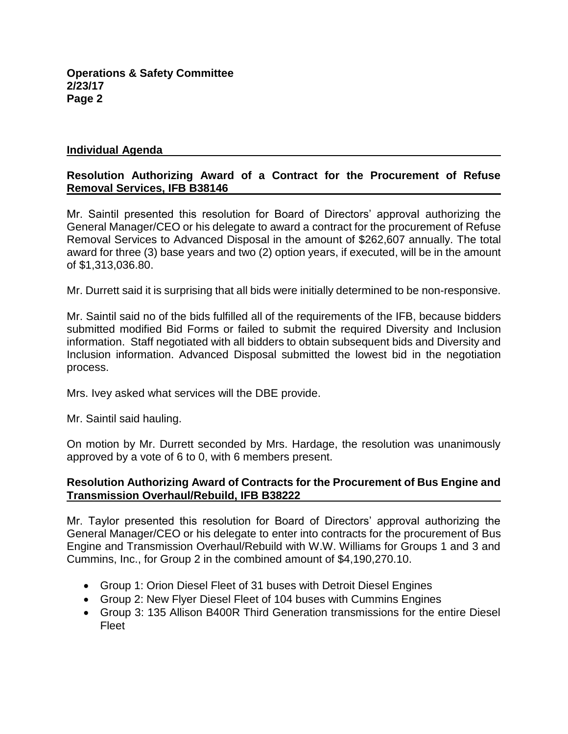#### **Individual Agenda**

# **Resolution Authorizing Award of a Contract for the Procurement of Refuse Removal Services, IFB B38146**

Mr. Saintil presented this resolution for Board of Directors' approval authorizing the General Manager/CEO or his delegate to award a contract for the procurement of Refuse Removal Services to Advanced Disposal in the amount of \$262,607 annually. The total award for three (3) base years and two (2) option years, if executed, will be in the amount of \$1,313,036.80.

Mr. Durrett said it is surprising that all bids were initially determined to be non-responsive.

Mr. Saintil said no of the bids fulfilled all of the requirements of the IFB, because bidders submitted modified Bid Forms or failed to submit the required Diversity and Inclusion information. Staff negotiated with all bidders to obtain subsequent bids and Diversity and Inclusion information. Advanced Disposal submitted the lowest bid in the negotiation process.

Mrs. Ivey asked what services will the DBE provide.

Mr. Saintil said hauling.

On motion by Mr. Durrett seconded by Mrs. Hardage, the resolution was unanimously approved by a vote of 6 to 0, with 6 members present.

#### **Resolution Authorizing Award of Contracts for the Procurement of Bus Engine and Transmission Overhaul/Rebuild, IFB B38222**

Mr. Taylor presented this resolution for Board of Directors' approval authorizing the General Manager/CEO or his delegate to enter into contracts for the procurement of Bus Engine and Transmission Overhaul/Rebuild with W.W. Williams for Groups 1 and 3 and Cummins, Inc., for Group 2 in the combined amount of \$4,190,270.10.

- Group 1: Orion Diesel Fleet of 31 buses with Detroit Diesel Engines
- Group 2: New Flyer Diesel Fleet of 104 buses with Cummins Engines
- Group 3: 135 Allison B400R Third Generation transmissions for the entire Diesel Fleet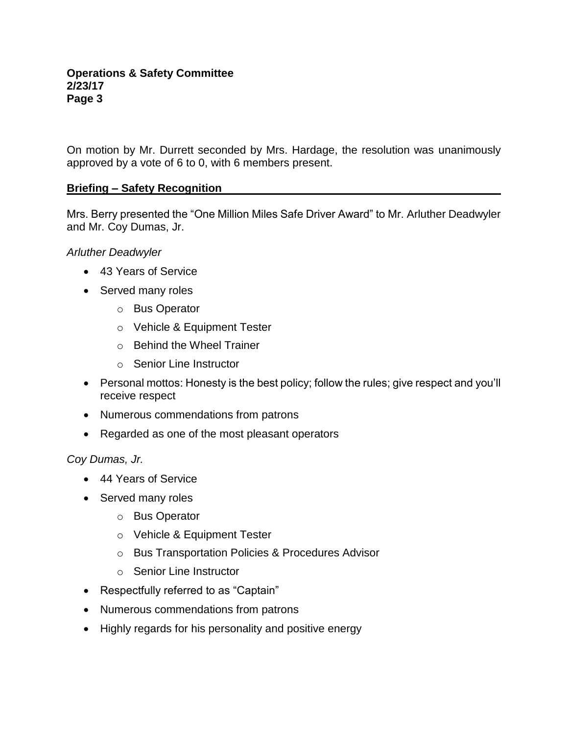On motion by Mr. Durrett seconded by Mrs. Hardage, the resolution was unanimously approved by a vote of 6 to 0, with 6 members present.

# **Briefing – Safety Recognition**

Mrs. Berry presented the "One Million Miles Safe Driver Award" to Mr. Arluther Deadwyler and Mr. Coy Dumas, Jr.

### *Arluther Deadwyler*

- 43 Years of Service
- Served many roles
	- o Bus Operator
	- o Vehicle & Equipment Tester
	- o Behind the Wheel Trainer
	- o Senior Line Instructor
- Personal mottos: Honesty is the best policy; follow the rules; give respect and you'll receive respect
- Numerous commendations from patrons
- Regarded as one of the most pleasant operators

# *Coy Dumas, Jr.*

- 44 Years of Service
- Served many roles
	- o Bus Operator
	- o Vehicle & Equipment Tester
	- o Bus Transportation Policies & Procedures Advisor
	- o Senior Line Instructor
- Respectfully referred to as "Captain"
- Numerous commendations from patrons
- Highly regards for his personality and positive energy